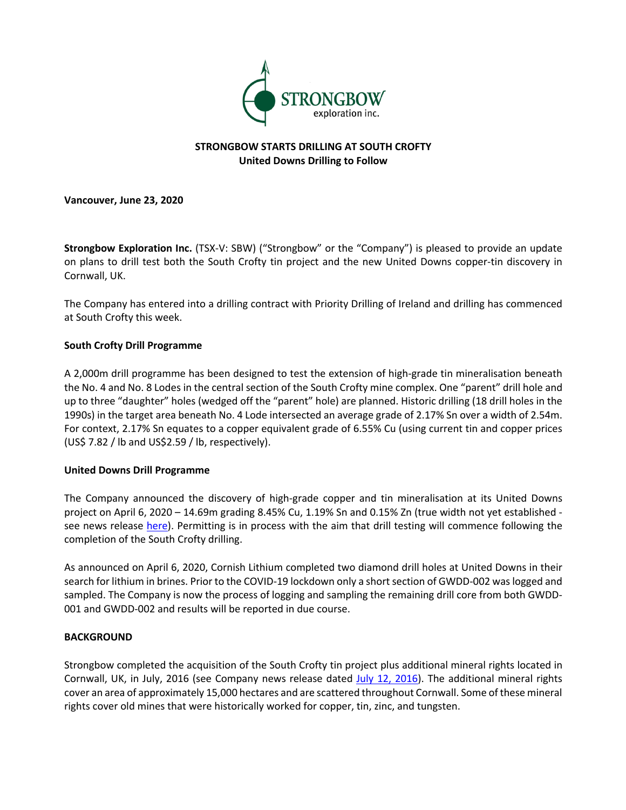

# **STRONGBOW STARTS DRILLING AT SOUTH CROFTY United Downs Drilling to Follow**

**Vancouver, June 23, 2020**

**Strongbow Exploration Inc.** (TSX-V: SBW) ("Strongbow" or the "Company") is pleased to provide an update on plans to drill test both the South Crofty tin project and the new United Downs copper-tin discovery in Cornwall, UK.

The Company has entered into a drilling contract with Priority Drilling of Ireland and drilling has commenced at South Crofty this week.

### **South Crofty Drill Programme**

A 2,000m drill programme has been designed to test the extension of high-grade tin mineralisation beneath the No. 4 and No. 8 Lodes in the central section of the South Crofty mine complex. One "parent" drill hole and up to three "daughter" holes (wedged off the "parent" hole) are planned. Historic drilling (18 drill holes in the 1990s) in the target area beneath No. 4 Lode intersected an average grade of 2.17% Sn over a width of 2.54m. For context, 2.17% Sn equates to a copper equivalent grade of 6.55% Cu (using current tin and copper prices (US\$ 7.82 / lb and US\$2.59 / lb, respectively).

### **United Downs Drill Programme**

The Company announced the discovery of high-grade copper and tin mineralisation at its United Downs project on April 6, 2020 – 14.69m grading 8.45% Cu, 1.19% Sn and 0.15% Zn (true width not yet established see news release here). Permitting is in process with the aim that drill testing will commence following the completion of the South Crofty drilling.

As announced on April 6, 2020, Cornish Lithium completed two diamond drill holes at United Downs in their search for lithium in brines. Prior to the COVID-19 lockdown only a short section of GWDD-002 was logged and sampled. The Company is now the process of logging and sampling the remaining drill core from both GWDD-001 and GWDD-002 and results will be reported in due course.

### **BACKGROUND**

Strongbow completed the acquisition of the South Crofty tin project plus additional mineral rights located in Cornwall, UK, in July, 2016 (see Company news release dated July 12, 2016). The additional mineral rights cover an area of approximately 15,000 hectares and are scattered throughout Cornwall. Some of these mineral rights cover old mines that were historically worked for copper, tin, zinc, and tungsten.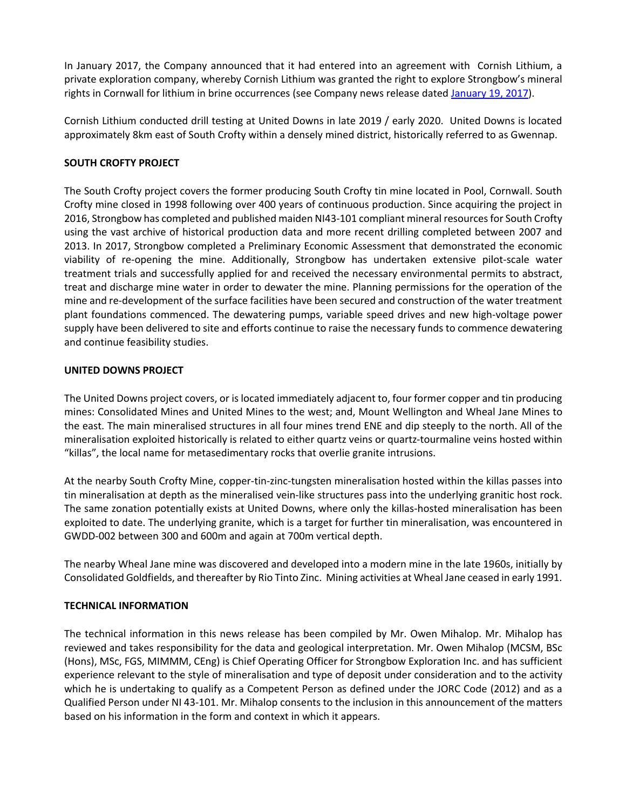In January 2017, the Company announced that it had entered into an agreement with Cornish Lithium, a private exploration company, whereby Cornish Lithium was granted the right to explore Strongbow's mineral rights in Cornwall for lithium in brine occurrences (see Company news release dated January 19, 2017).

Cornish Lithium conducted drill testing at United Downs in late 2019 / early 2020. United Downs is located approximately 8km east of South Crofty within a densely mined district, historically referred to as Gwennap.

## **SOUTH CROFTY PROJECT**

The South Crofty project covers the former producing South Crofty tin mine located in Pool, Cornwall. South Crofty mine closed in 1998 following over 400 years of continuous production. Since acquiring the project in 2016, Strongbow has completed and published maiden NI43-101 compliant mineral resources for South Crofty using the vast archive of historical production data and more recent drilling completed between 2007 and 2013. In 2017, Strongbow completed a Preliminary Economic Assessment that demonstrated the economic viability of re-opening the mine. Additionally, Strongbow has undertaken extensive pilot-scale water treatment trials and successfully applied for and received the necessary environmental permits to abstract, treat and discharge mine water in order to dewater the mine. Planning permissions for the operation of the mine and re-development of the surface facilities have been secured and construction of the water treatment plant foundations commenced. The dewatering pumps, variable speed drives and new high-voltage power supply have been delivered to site and efforts continue to raise the necessary funds to commence dewatering and continue feasibility studies.

### **UNITED DOWNS PROJECT**

The United Downs project covers, or is located immediately adjacent to, four former copper and tin producing mines: Consolidated Mines and United Mines to the west; and, Mount Wellington and Wheal Jane Mines to the east. The main mineralised structures in all four mines trend ENE and dip steeply to the north. All of the mineralisation exploited historically is related to either quartz veins or quartz-tourmaline veins hosted within "killas", the local name for metasedimentary rocks that overlie granite intrusions.

At the nearby South Crofty Mine, copper-tin-zinc-tungsten mineralisation hosted within the killas passes into tin mineralisation at depth as the mineralised vein-like structures pass into the underlying granitic host rock. The same zonation potentially exists at United Downs, where only the killas-hosted mineralisation has been exploited to date. The underlying granite, which is a target for further tin mineralisation, was encountered in GWDD-002 between 300 and 600m and again at 700m vertical depth.

The nearby Wheal Jane mine was discovered and developed into a modern mine in the late 1960s, initially by Consolidated Goldfields, and thereafter by Rio Tinto Zinc. Mining activities at Wheal Jane ceased in early 1991.

### **TECHNICAL INFORMATION**

The technical information in this news release has been compiled by Mr. Owen Mihalop. Mr. Mihalop has reviewed and takes responsibility for the data and geological interpretation. Mr. Owen Mihalop (MCSM, BSc (Hons), MSc, FGS, MIMMM, CEng) is Chief Operating Officer for Strongbow Exploration Inc. and has sufficient experience relevant to the style of mineralisation and type of deposit under consideration and to the activity which he is undertaking to qualify as a Competent Person as defined under the JORC Code (2012) and as a Qualified Person under NI 43-101. Mr. Mihalop consents to the inclusion in this announcement of the matters based on his information in the form and context in which it appears.